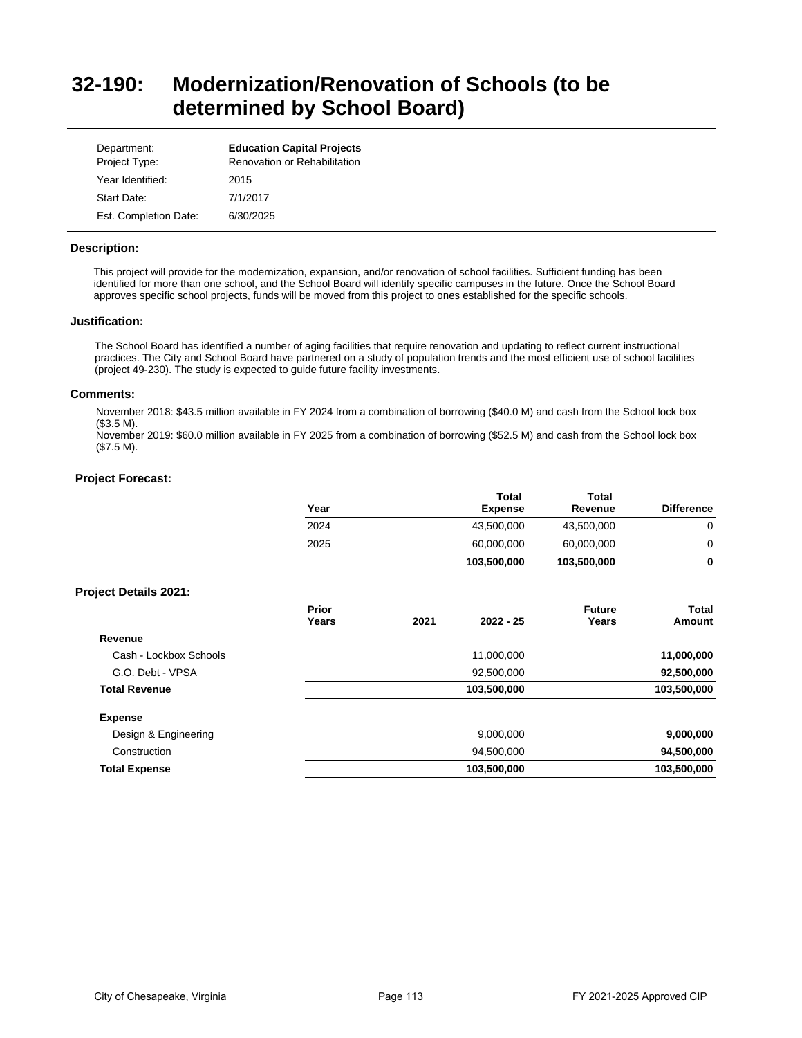# **32-190: Modernization/Renovation of Schools (to be determined by School Board)**

| Department:<br>Project Type: | <b>Education Capital Projects</b><br>Renovation or Rehabilitation |
|------------------------------|-------------------------------------------------------------------|
| Year Identified:             | 2015                                                              |
| Start Date:                  | 7/1/2017                                                          |
| Est. Completion Date:        | 6/30/2025                                                         |

### **Description:**

This project will provide for the modernization, expansion, and/or renovation of school facilities. Sufficient funding has been identified for more than one school, and the School Board will identify specific campuses in the future. Once the School Board approves specific school projects, funds will be moved from this project to ones established for the specific schools.

#### **Justification:**

The School Board has identified a number of aging facilities that require renovation and updating to reflect current instructional practices. The City and School Board have partnered on a study of population trends and the most efficient use of school facilities (project 49-230). The study is expected to guide future facility investments.

#### **Comments:**

November 2018: \$43.5 million available in FY 2024 from a combination of borrowing (\$40.0 M) and cash from the School lock box (\$3.5 M).

November 2019: \$60.0 million available in FY 2025 from a combination of borrowing (\$52.5 M) and cash from the School lock box (\$7.5 M).

### **Project Forecast:**

|                              | Year           |      | Total<br><b>Expense</b> | <b>Total</b><br>Revenue | <b>Difference</b>      |
|------------------------------|----------------|------|-------------------------|-------------------------|------------------------|
|                              | 2024           |      | 43,500,000              | 43,500,000              | 0                      |
|                              | 2025           |      | 60,000,000              | 60,000,000              | 0                      |
|                              |                |      | 103,500,000             | 103,500,000             | 0                      |
| <b>Project Details 2021:</b> |                |      |                         |                         |                        |
|                              | Prior<br>Years | 2021 | $2022 - 25$             | <b>Future</b><br>Years  | <b>Total</b><br>Amount |
| Revenue                      |                |      |                         |                         |                        |
| Cash - Lockbox Schools       |                |      | 11,000,000              |                         | 11,000,000             |
| G.O. Debt - VPSA             |                |      | 92,500,000              |                         | 92,500,000             |
| <b>Total Revenue</b>         |                |      | 103,500,000             |                         | 103,500,000            |
| <b>Expense</b>               |                |      |                         |                         |                        |
| Design & Engineering         |                |      | 9,000,000               |                         | 9,000,000              |
| Construction                 |                |      | 94,500,000              |                         | 94,500,000             |
| <b>Total Expense</b>         |                |      | 103,500,000             |                         | 103,500,000            |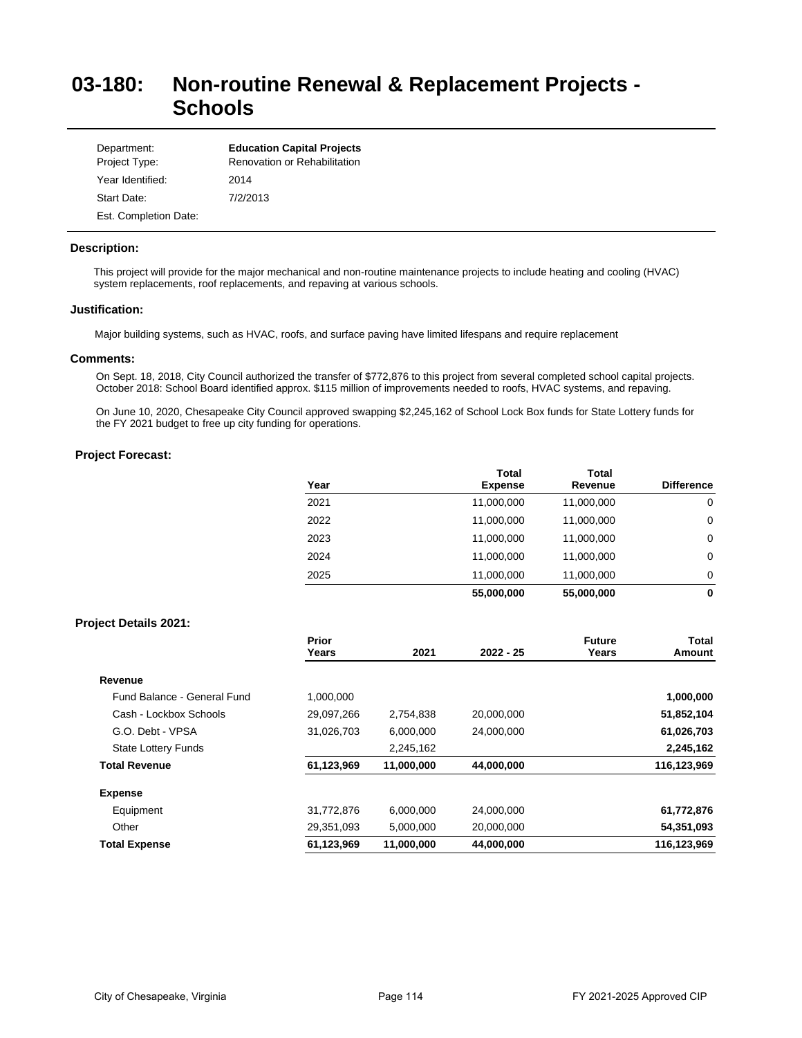# **03-180: Non-routine Renewal & Replacement Projects - Schools**

| Department:<br>Project Type: | <b>Education Capital Projects</b><br>Renovation or Rehabilitation |
|------------------------------|-------------------------------------------------------------------|
| Year Identified:             | 2014                                                              |
| Start Date:                  | 7/2/2013                                                          |
| Est. Completion Date:        |                                                                   |

### **Description:**

This project will provide for the major mechanical and non-routine maintenance projects to include heating and cooling (HVAC) system replacements, roof replacements, and repaving at various schools.

## **Justification:**

Major building systems, such as HVAC, roofs, and surface paving have limited lifespans and require replacement

## **Comments:**

On Sept. 18, 2018, City Council authorized the transfer of \$772,876 to this project from several completed school capital projects. October 2018: School Board identified approx. \$115 million of improvements needed to roofs, HVAC systems, and repaving.

On June 10, 2020, Chesapeake City Council approved swapping \$2,245,162 of School Lock Box funds for State Lottery funds for the FY 2021 budget to free up city funding for operations.

## **Project Forecast:**

| Year | <b>Total</b><br><b>Expense</b> | <b>Total</b><br>Revenue | <b>Difference</b> |
|------|--------------------------------|-------------------------|-------------------|
| 2021 | 11,000,000                     | 11,000,000              | 0                 |
| 2022 | 11,000,000                     | 11,000,000              | 0                 |
| 2023 | 11,000,000                     | 11,000,000              | 0                 |
| 2024 | 11,000,000                     | 11,000,000              | 0                 |
| 2025 | 11,000,000                     | 11,000,000              | 0                 |
|      | 55,000,000                     | 55,000,000              | 0                 |

## **Project Details 2021:**

|                             | Prior<br>Years | 2021       | $2022 - 25$ | <b>Future</b><br>Years | Total<br>Amount |
|-----------------------------|----------------|------------|-------------|------------------------|-----------------|
| Revenue                     |                |            |             |                        |                 |
| Fund Balance - General Fund | 1,000,000      |            |             |                        | 1,000,000       |
| Cash - Lockbox Schools      | 29,097,266     | 2,754,838  | 20,000,000  |                        | 51,852,104      |
| G.O. Debt - VPSA            | 31,026,703     | 6,000,000  | 24,000,000  |                        | 61,026,703      |
| <b>State Lottery Funds</b>  |                | 2,245,162  |             |                        | 2,245,162       |
| <b>Total Revenue</b>        | 61,123,969     | 11,000,000 | 44,000,000  |                        | 116,123,969     |
| <b>Expense</b>              |                |            |             |                        |                 |
| Equipment                   | 31,772,876     | 6,000,000  | 24,000,000  |                        | 61,772,876      |
| Other                       | 29,351,093     | 5,000,000  | 20,000,000  |                        | 54,351,093      |
| <b>Total Expense</b>        | 61,123,969     | 11,000,000 | 44,000,000  |                        | 116,123,969     |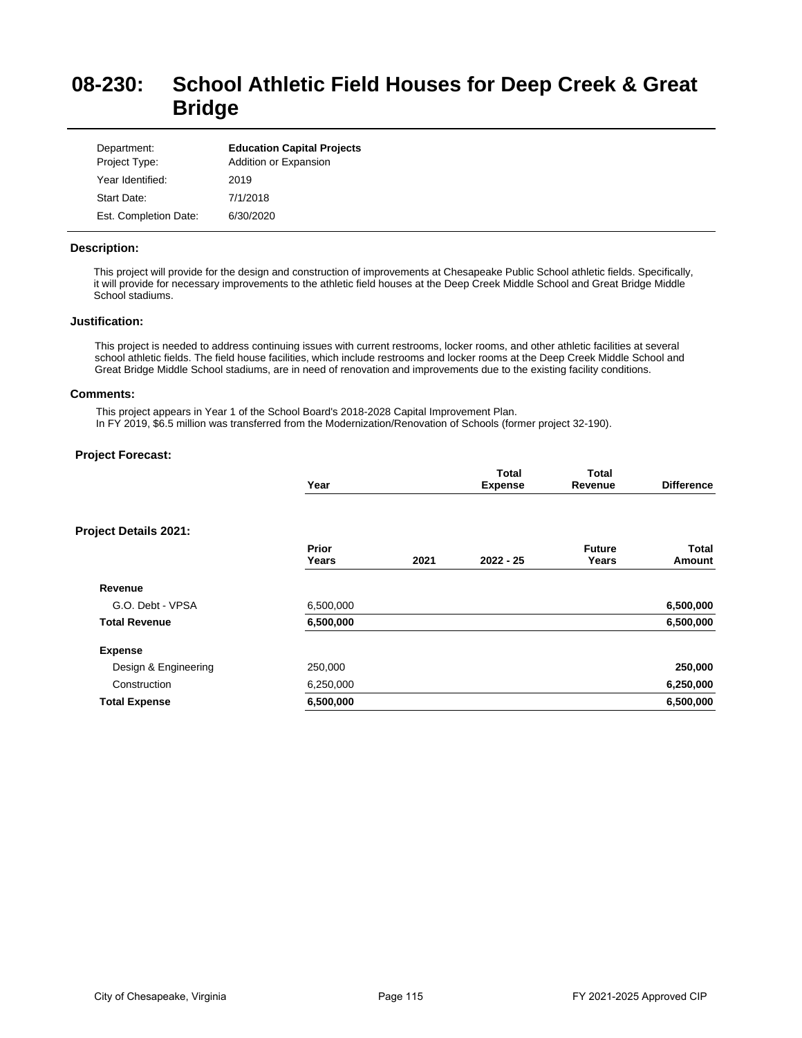# **08-230: School Athletic Field Houses for Deep Creek & Great Bridge**

| Department:<br>Project Type: | <b>Education Capital Projects</b><br>Addition or Expansion |
|------------------------------|------------------------------------------------------------|
| Year Identified:             | 2019                                                       |
| Start Date:                  | 7/1/2018                                                   |
| Est. Completion Date:        | 6/30/2020                                                  |

## **Description:**

This project will provide for the design and construction of improvements at Chesapeake Public School athletic fields. Specifically, it will provide for necessary improvements to the athletic field houses at the Deep Creek Middle School and Great Bridge Middle School stadiums.

#### **Justification:**

This project is needed to address continuing issues with current restrooms, locker rooms, and other athletic facilities at several school athletic fields. The field house facilities, which include restrooms and locker rooms at the Deep Creek Middle School and Great Bridge Middle School stadiums, are in need of renovation and improvements due to the existing facility conditions.

#### **Comments:**

This project appears in Year 1 of the School Board's 2018-2028 Capital Improvement Plan. In FY 2019, \$6.5 million was transferred from the Modernization/Renovation of Schools (former project 32-190).

## **Project Forecast:**

|                              | Year           |      | <b>Total</b><br><b>Expense</b> | <b>Total</b><br>Revenue | <b>Difference</b> |
|------------------------------|----------------|------|--------------------------------|-------------------------|-------------------|
| <b>Project Details 2021:</b> |                |      |                                |                         |                   |
|                              | Prior<br>Years | 2021 | $2022 - 25$                    | <b>Future</b><br>Years  | Total<br>Amount   |
| Revenue                      |                |      |                                |                         |                   |
| G.O. Debt - VPSA             | 6,500,000      |      |                                |                         | 6,500,000         |
| <b>Total Revenue</b>         | 6,500,000      |      |                                |                         | 6,500,000         |
| <b>Expense</b>               |                |      |                                |                         |                   |
| Design & Engineering         | 250,000        |      |                                |                         | 250,000           |
| Construction                 | 6,250,000      |      |                                |                         | 6,250,000         |
| <b>Total Expense</b>         | 6,500,000      |      |                                |                         | 6,500,000         |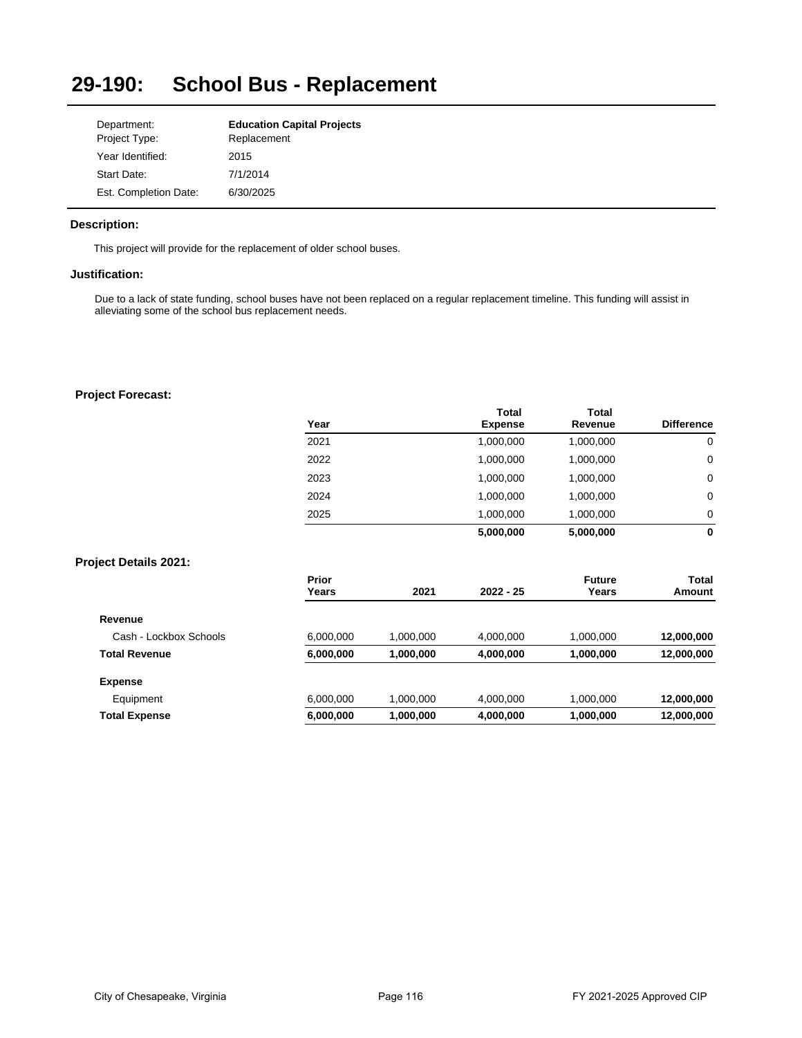### **29-190: School Bus - Replacement**

| Department:           | <b>Education Capital Projects</b> |
|-----------------------|-----------------------------------|
| Project Type:         | Replacement                       |
| Year Identified:      | 2015                              |
| Start Date:           | 7/1/2014                          |
| Est. Completion Date: | 6/30/2025                         |

# **Description:**

This project will provide for the replacement of older school buses.

# **Justification:**

Due to a lack of state funding, school buses have not been replaced on a regular replacement timeline. This funding will assist in alleviating some of the school bus replacement needs.

## **Project Forecast:**

| Year | <b>Total</b><br><b>Expense</b> | Total<br>Revenue | <b>Difference</b> |
|------|--------------------------------|------------------|-------------------|
| 2021 | 1,000,000                      | 1,000,000        | 0                 |
| 2022 | 1,000,000                      | 1,000,000        | 0                 |
| 2023 | 1,000,000                      | 1,000,000        | 0                 |
| 2024 | 1,000,000                      | 1,000,000        | 0                 |
| 2025 | 1,000,000                      | 1,000,000        | 0                 |
|      | 5,000,000                      | 5,000,000        | 0                 |

# **Project Details 2021:**

|                        | Prior     |           |             | <b>Future</b> | <b>Total</b> |
|------------------------|-----------|-----------|-------------|---------------|--------------|
|                        | Years     | 2021      | $2022 - 25$ | Years         | Amount       |
| Revenue                |           |           |             |               |              |
| Cash - Lockbox Schools | 6,000,000 | 1,000,000 | 4,000,000   | 1,000,000     | 12,000,000   |
| <b>Total Revenue</b>   | 6,000,000 | 1,000,000 | 4,000,000   | 1,000,000     | 12,000,000   |
| <b>Expense</b>         |           |           |             |               |              |
| Equipment              | 6,000,000 | 1,000,000 | 4,000,000   | 1,000,000     | 12,000,000   |
| <b>Total Expense</b>   | 6,000,000 | 1,000,000 | 4,000,000   | 1,000,000     | 12,000,000   |
|                        |           |           |             |               |              |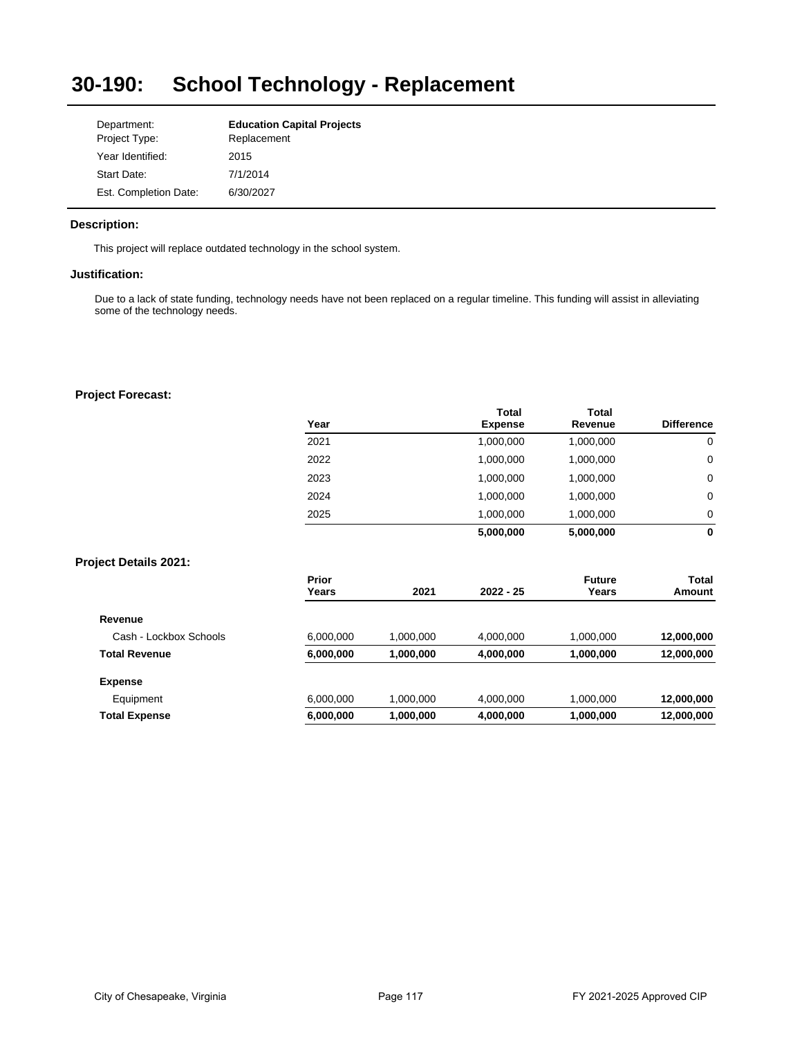### **30-190: School Technology - Replacement**

| Department:           | <b>Education Capital Projects</b> |
|-----------------------|-----------------------------------|
| Project Type:         | Replacement                       |
| Year Identified:      | 2015                              |
| Start Date:           | 7/1/2014                          |
| Est. Completion Date: | 6/30/2027                         |

# **Description:**

This project will replace outdated technology in the school system.

# **Justification:**

Due to a lack of state funding, technology needs have not been replaced on a regular timeline. This funding will assist in alleviating some of the technology needs.

## **Project Forecast:**

|                              | Year                  |           | Total<br><b>Expense</b> | Total<br>Revenue       | <b>Difference</b> |
|------------------------------|-----------------------|-----------|-------------------------|------------------------|-------------------|
|                              | 2021                  |           | 1,000,000               | 1,000,000              | $\mathbf 0$       |
|                              | 2022                  |           | 1,000,000               | 1,000,000              | 0                 |
|                              | 2023                  |           | 1,000,000               | 1,000,000              | 0                 |
|                              | 2024                  |           | 1,000,000               | 1,000,000              | 0                 |
|                              | 2025                  |           | 1,000,000               | 1,000,000              | 0                 |
|                              |                       |           | 5,000,000               | 5,000,000              | 0                 |
| <b>Project Details 2021:</b> |                       |           |                         |                        |                   |
|                              | <b>Prior</b><br>Years | 2021      | 2022 - 25               | <b>Future</b><br>Years | Total<br>Amount   |
| Revenue                      |                       |           |                         |                        |                   |
| Cash - Lockbox Schools       | 6,000,000             | 1,000,000 | 4,000,000               | 1,000,000              | 12,000,000        |
| <b>Total Revenue</b>         | 6,000,000             | 1,000,000 | 4,000,000               | 1,000,000              | 12,000,000        |
| <b>Expense</b>               |                       |           |                         |                        |                   |
| Equipment                    | 6,000,000             | 1,000,000 | 4,000,000               | 1,000,000              | 12,000,000        |
| <b>Total Expense</b>         | 6,000,000             | 1,000,000 | 4,000,000               | 1,000,000              | 12,000,000        |